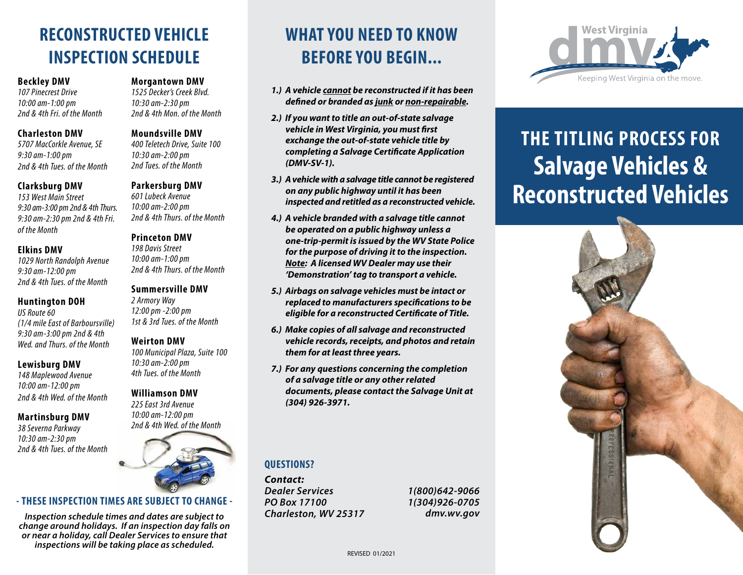# **RECONSTRUCTED VEHICLE INSPECTION SCHEDULE**

#### **Beckley DMV**

*107 Pinecrest Drive 10:00 am-1:00 pm 2nd & 4th Fri. of the Month*

#### **Charleston DMV**

*5707 MacCorkle Avenue, SE 9:30 am-1:00 pm 2nd & 4th Tues. of the Month*

#### **Clarksburg DMV**

*153 West Main Street 9:30 am-3:00 pm 2nd & 4th Thurs. 9:30 am-2:30 pm 2nd & 4th Fri. of the Month*

#### **Elkins DMV**

*1029 North Randolph Avenue 9:30 am-12:00 pm 2nd & 4th Tues. of the Month*

#### **Huntington DOH**

*US Route 60 (1/4 mile East of Barboursville) 9:30 am-3:00 pm 2nd & 4th Wed. and Thurs. of the Month*

#### **Lewisburg DMV**

*148 Maplewood Avenue 10:00 am-12:00 pm 2nd & 4th Wed. of the Month*

#### **Martinsburg DMV**

*38 Severna Parkway 10:30 am-2:30 pm 2nd & 4th Tues. of the Month*

#### **Morgantown DMV**

*1525 Decker's Creek Blvd. 10:30 am-2:30 pm 2nd & 4th Mon. of the Month*

**Moundsville DMV**

*400 Teletech Drive, Suite 100 10:30 am-2:00 pm 2nd Tues. of the Month*

#### **Parkersburg DMV**

*601 Lubeck Avenue 10:00 am-2:00 pm 2nd & 4th Thurs. of the Month*

#### **Princeton DMV**

*198 Davis Street 10:00 am-1:00 pm 2nd & 4th Thurs. of the Month*

#### **Summersville DMV**

*2 Armory Way 12:00 pm -2:00 pm 1st & 3rd Tues. of the Month*

#### **Weirton DMV**

*100 Municipal Plaza, Suite 100 10:30 am-2:00 pm 4th Tues. of the Month*

#### **Williamson DMV**

*225 East 3rd Avenue 10:00 am-12:00 pm 2nd & 4th Wed. of the Month*



#### **- THESE INSPECTION TIMES ARE SUBJECT TO CHANGE -**

*Inspection schedule times and dates are subject to change around holidays. If an inspection day falls on or near a holiday, call Dealer Services to ensure that inspections will be taking place as scheduled.*

# **WHAT YOU NEED TO KNOW BEFORE YOU BEGIN...**

- *1.) A vehicle cannot be reconstructed if it has been defined or branded as junk or non-repairable.*
- *2.) If you want to title an out-of-state salvage vehicle in West Virginia, you must first exchange the out-of-state vehicle title by completing a Salvage Certificate Application (DMV-SV-1).*
- *3.) A vehicle with a salvage title cannot be registered on any public highway until it has been inspected and retitled as a reconstructed vehicle.*
- *4.) A vehicle branded with a salvage title cannot be operated on a public highway unless a one-trip-permit is issued by the WV State Police for the purpose of driving it to the inspection. Note: A licensed WV Dealer may use their 'Demonstration' tag to transport a vehicle.*
- *5.) Airbags on salvage vehicles must be intact or replaced to manufacturers specifications to be eligible for a reconstructed Certificate of Title.*
- *6.) Make copies of all salvage and reconstructed vehicle records, receipts, and photos and retain them for at least three years.*
- *7.) For any questions concerning the completion of a salvage title or any other related documents, please contact the Salvage Unit at (304) 926-3971.*

#### **QUESTIONS?**

*Contact: Dealer Services PO Box 17100 Charleston, WV 25317*

*1(800)642-9066 1(304)926-0705 dmv.wv.gov*



# **THE TITLING PROCESS FOR Salvage Vehicles & Reconstructed Vehicles**